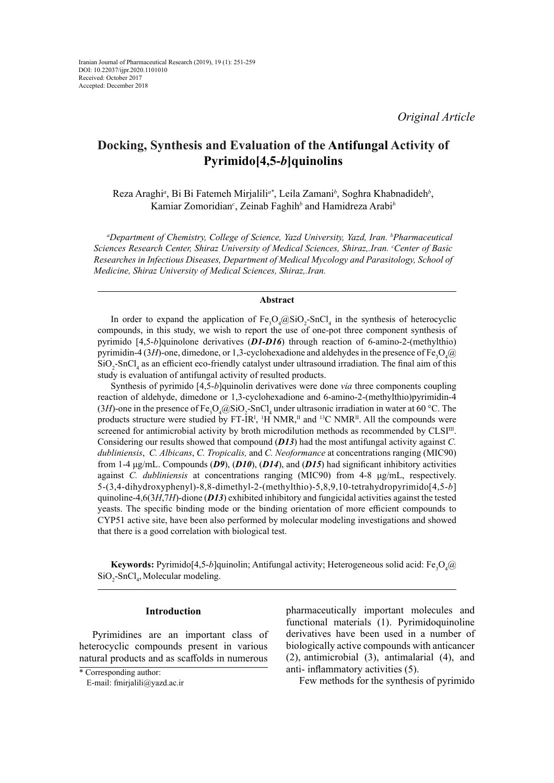# **Docking, Synthesis and Evaluation of the Antifungal Activity of Pyrimido[4,5-***b***]quinolins**

Reza Araghi<sup>a</sup>, Bi Bi Fatemeh Mirjalili<sup>a\*</sup>, Leila Zamani<sup>b</sup>, Soghra Khabnadideh<sup>b</sup>, Kamiar Zomoridian*<sup>c</sup>* , Zeinab Faghih*<sup>b</sup>* and Hamidreza Arabi*<sup>b</sup>*

*a Department of Chemistry, College of Science, Yazd University, Yazd, Iran. b Pharmaceutical Sciences Research Center, Shiraz University of Medical Sciences, Shiraz,.Iran. c Center of Basic Researches in Infectious Diseases, Department of Medical Mycology and Parasitology, School of Medicine, Shiraz University of Medical Sciences, Shiraz,.Iran.*

# **Abstract**

In order to expand the application of  $Fe<sub>3</sub>O<sub>4</sub>@SiO<sub>2</sub>$ -SnCl<sub>4</sub> in the synthesis of heterocyclic compounds, in this study, we wish to report the use of one-pot three component synthesis of pyrimido [4,5-*b*]quinolone derivatives (*D1-D16*) through reaction of 6-amino-2-(methylthio) pyrimidin-4 (3*H*)-one, dimedone, or 1,3-cyclohexadione and aldehydes in the presence of Fe<sub>3</sub>O<sub>4</sub>@  $SiO<sub>2</sub>$ -SnCl<sub>4</sub> as an efficient eco-friendly catalyst under ultrasound irradiation. The final aim of this study is evaluation of antifungal activity of resulted products.

Synthesis of pyrimido [4,5-*b*]quinolin derivatives were done *via* three components coupling reaction of aldehyde, dimedone or 1,3-cyclohexadione and 6-amino-2-(methylthio)pyrimidin-4 (3*H*)-one in the presence of  $Fe<sub>3</sub>O<sub>4</sub>@SiO<sub>2</sub>$ -SnCl<sub>4</sub> under ultrasonic irradiation in water at 60 °C. The products structure were studied by  $FT-IR<sup>I</sup>$ , <sup>1</sup>H NMR,<sup>II</sup> and <sup>13</sup>C NMR<sup>II</sup>. All the compounds were screened for antimicrobial activity by broth microdilution methods as recommended by CLSI<sup>III</sup>. Considering our results showed that compound (*D13*) had the most antifungal activity against *C. dubliniensis*, *C. Albicans*, *C. Tropicalis,* and *C. Neoformance* at concentrations ranging (MIC90) from 1-4 μg/mL. Compounds (*D9*), (*D10*), (*D14*), and (*D15*) had significant inhibitory activities against *C. dubliniensis* at concentrations ranging (MIC90) from 4-8 μg/mL, respectively. 5-(3,4-dihydroxyphenyl)-8,8-dimethyl-2-(methylthio)-5,8,9,10-tetrahydropyrimido[4,5-*b*] quinoline-4,6(3*H*,7*H*)-dione (*D13*) exhibited inhibitory and fungicidal activities against the tested yeasts. The specific binding mode or the binding orientation of more efficient compounds to CYP51 active site, have been also performed by molecular modeling investigations and showed that there is a good correlation with biological test.

 ${\bf Key words:}$  Pyrimido[4,5-*b*]quinolin; Antifungal activity; Heterogeneous solid acid: Fe<sub>3</sub>O<sub>4</sub>@  $SiO_2$ -SnCl<sub>4</sub>, Molecular modeling.

## **Introduction**

Pyrimidines are an important class of heterocyclic compounds present in various natural products and as scaffolds in numerous

pharmaceutically important molecules and functional materials (1). Pyrimidoquinoline derivatives have been used in a number of biologically active compounds with anticancer (2), antimicrobial (3), antimalarial (4), and anti- inflammatory activities (5).

Few methods for the synthesis of pyrimido

<sup>\*</sup> Corresponding author:

E-mail: fmirjalili@yazd.ac.ir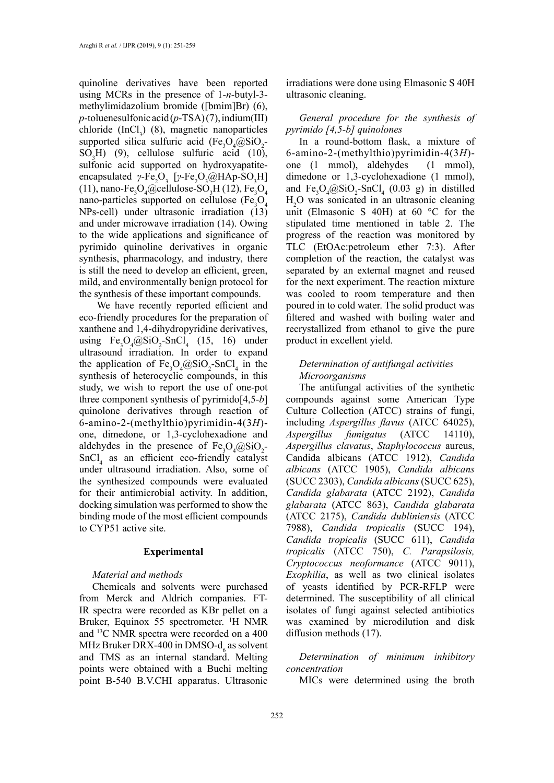quinoline derivatives have been reported using MCRs in the presence of 1-*n*-butyl-3 methylimidazolium bromide ([bmim]Br) (6), *p*-toluenesulfonic acid (*p*-TSA) (7), indium(III) chloride  $(Incl_3)$  (8), magnetic nanoparticles supported silica sulfuric acid  $(Fe<sub>3</sub>O<sub>4</sub>@SiO<sub>2</sub> SO<sub>3</sub>H$ ) (9), cellulose sulfuric acid (10), sulfonic acid supported on hydroxyapatiteencapsulated *γ*-Fe<sub>2</sub>O<sub>3</sub> [*γ*-Fe<sub>2</sub>O<sub>3</sub>@HAp-SO<sub>3</sub>H] (11), nano-Fe<sub>3</sub>O<sub>4</sub>@cellulose-SO<sub>3</sub>H (12), Fe<sub>3</sub>O<sub>4</sub> nano-particles supported on cellulose (Fe<sub>3</sub>O<sub>4</sub> NPs-cell) under ultrasonic irradiation (13) and under microwave irradiation (14). Owing to the wide applications and significance of pyrimido quinoline derivatives in organic synthesis, pharmacology, and industry, there is still the need to develop an efficient, green, mild, and environmentally benign protocol for the synthesis of these important compounds.

 We have recently reported efficient and eco-friendly procedures for the preparation of xanthene and 1,4-dihydropyridine derivatives, using  $Fe<sub>3</sub>O<sub>4</sub>(@SiO<sub>2</sub>-SnCl<sub>4</sub> (15, 16) under)$ ultrasound irradiation. In order to expand the application of  $Fe<sub>3</sub>O<sub>4</sub>(@SiO<sub>2</sub>-SnCl<sub>4</sub> in the)$ synthesis of heterocyclic compounds, in this study, we wish to report the use of one-pot three component synthesis of pyrimido[4,5-*b*] quinolone derivatives through reaction of 6-amino-2-(methylthio)pyrimidin-4(3*H*) one, dimedone, or 1,3-cyclohexadione and aldehydes in the presence of  $Fe<sub>3</sub>O<sub>4</sub>(@SiO<sub>2</sub>$  $SnCl<sub>4</sub>$  as an efficient eco-friendly catalyst under ultrasound irradiation. Also, some of the synthesized compounds were evaluated for their antimicrobial activity. In addition, docking simulation was performed to show the binding mode of the most efficient compounds to CYP51 active site.

## **Experimental**

# *Material and methods*

Chemicals and solvents were purchased from Merck and Aldrich companies. FT-IR spectra were recorded as KBr pellet on a Bruker, Equinox 55 spectrometer. <sup>1</sup>H NMR and 13C NMR spectra were recorded on a 400 MHz Bruker DRX-400 in DMSO- $d_6$  as solvent and TMS as an internal standard. Melting points were obtained with a Buchi melting point B-540 B.V.CHI apparatus. Ultrasonic

irradiations were done using Elmasonic S 40H ultrasonic cleaning.

*General procedure for the synthesis of pyrimido [4,5-b] quinolones*

In a round-bottom flask, a mixture of 6-amino-2-(methylthio)pyrimidin-4(3*H*) one (1 mmol), aldehydes (1 mmol), dimedone or 1,3-cyclohexadione (1 mmol), and  $Fe<sub>3</sub>O<sub>4</sub>(@SiO<sub>2</sub>-SnCl<sub>4</sub> (0.03 g)$  in distilled H2 O was sonicated in an ultrasonic cleaning unit (Elmasonic S 40H) at 60 °C for the stipulated time mentioned in table 2. The progress of the reaction was monitored by TLC (EtOAc:petroleum ether 7:3). After completion of the reaction, the catalyst was separated by an external magnet and reused for the next experiment. The reaction mixture was cooled to room temperature and then poured in to cold water. The solid product was filtered and washed with boiling water and recrystallized from ethanol to give the pure product in excellent yield.

# *Determination of antifungal activities Microorganisms*

The antifungal activities of the synthetic compounds against some American Type Culture Collection (ATCC) strains of fungi, including *Aspergillus flavus* (ATCC 64025), *Aspergillus fumigatus* (ATCC 14110), *Aspergillus clavatus*, *Staphylococcus* aureus, Candida albicans (ATCC 1912), *Candida albicans* (ATCC 1905), *Candida albicans* (SUCC 2303), *Candida albicans* (SUCC 625), *Candida glabarata* (ATCC 2192), *Candida glabarata* (ATCC 863), *Candida glabarata* (ATCC 2175), *Candida dubliniensis* (ATCC 7988), *Candida tropicalis* (SUCC 194), *Candida tropicalis* (SUCC 611), *Candida tropicalis* (ATCC 750), *C. Parapsilosis, Cryptococcus neoformance* (ATCC 9011), *Exophilia*, as well as two clinical isolates of yeasts identified by PCR-RFLP were determined. The susceptibility of all clinical isolates of fungi against selected antibiotics was examined by microdilution and disk diffusion methods (17).

*Determination of minimum inhibitory concentration* 

MICs were determined using the broth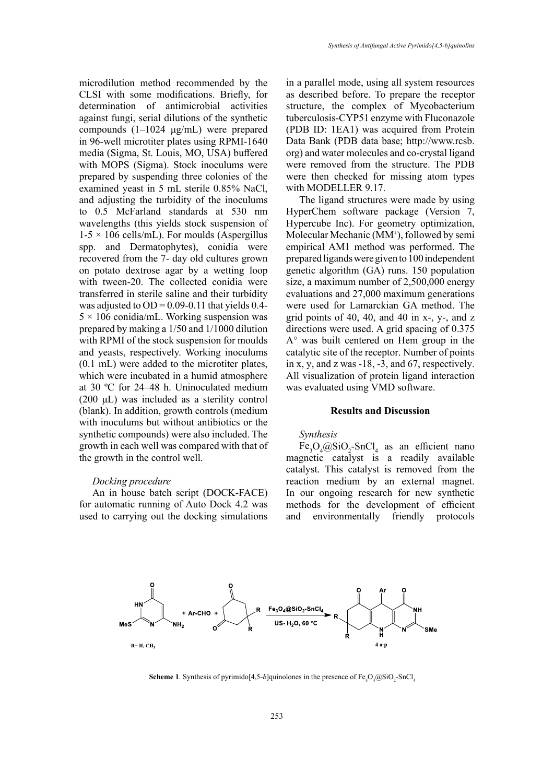microdilution method recommended by the CLSI with some modifications. Briefly, for determination of antimicrobial activities against fungi, serial dilutions of the synthetic compounds (1–1024 μg/mL) were prepared in 96-well microtiter plates using RPMI-1640 media (Sigma, St. Louis, MO, USA) buffered with MOPS (Sigma). Stock inoculums were prepared by suspending three colonies of the examined yeast in 5 mL sterile 0.85% NaCl, and adjusting the turbidity of the inoculums to 0.5 McFarland standards at 530 nm wavelengths (this yields stock suspension of  $1-5 \times 106$  cells/mL). For moulds (Aspergillus spp. and Dermatophytes), conidia were recovered from the 7- day old cultures grown on potato dextrose agar by a wetting loop with tween-20. The collected conidia were transferred in sterile saline and their turbidity was adjusted to  $OD = 0.09 - 0.11$  that yields 0.4- $5 \times 106$  conidia/mL. Working suspension was prepared by making a 1/50 and 1/1000 dilution with RPMI of the stock suspension for moulds and yeasts, respectively. Working inoculums (0.1 mL) were added to the microtiter plates, which were incubated in a humid atmosphere at 30 ºC for 24–48 h. Uninoculated medium (200 μL) was included as a sterility control (blank). In addition, growth controls (medium with inoculums but without antibiotics or the synthetic compounds) were also included. The growth in each well was compared with that of the growth in the control well.

#### *Docking procedure*

An in house batch script (DOCK-FACE) for automatic running of Auto Dock 4.2 was used to carrying out the docking simulations in a parallel mode, using all system resources as described before. To prepare the receptor structure, the complex of Mycobacterium tuberculosis-CYP51 enzyme with Fluconazole (PDB ID: 1EA1) was acquired from Protein Data Bank (PDB data base; http://www.rcsb. org) and water molecules and co-crystal ligand were removed from the structure. The PDB were then checked for missing atom types with MODELLER 9.17.

The ligand structures were made by using HyperChem software package (Version 7, Hypercube Inc). For geometry optimization, Molecular Mechanic (MM+ ), followed by semi empirical AM1 method was performed. The prepared ligands were given to 100 independent genetic algorithm (GA) runs. 150 population size, a maximum number of 2,500,000 energy evaluations and 27,000 maximum generations were used for Lamarckian GA method. The grid points of 40, 40, and 40 in  $x-$ ,  $y-$ , and  $z$ directions were used. A grid spacing of 0.375 A° was built centered on Hem group in the catalytic site of the receptor. Number of points in x, y, and z was -18, -3, and 67, respectively. All visualization of protein ligand interaction was evaluated using VMD software.

# **Results and Discussion**

# *Synthesis*

 $Fe<sub>3</sub>O<sub>4</sub>(QSiO<sub>2</sub>-SnCl<sub>4</sub> as an efficient nano$ magnetic catalyst is a readily available catalyst. This catalyst is removed from the reaction medium by an external magnet. In our ongoing research for new synthetic methods for the development of efficient and environmentally friendly protocols



**Scheme 1.** Synthesis of pyrimido[4,5-*b*]quinolones in the presence of  $Fe<sub>3</sub>O<sub>4</sub>@SiO<sub>2</sub>$ -SnCl<sub>4</sub>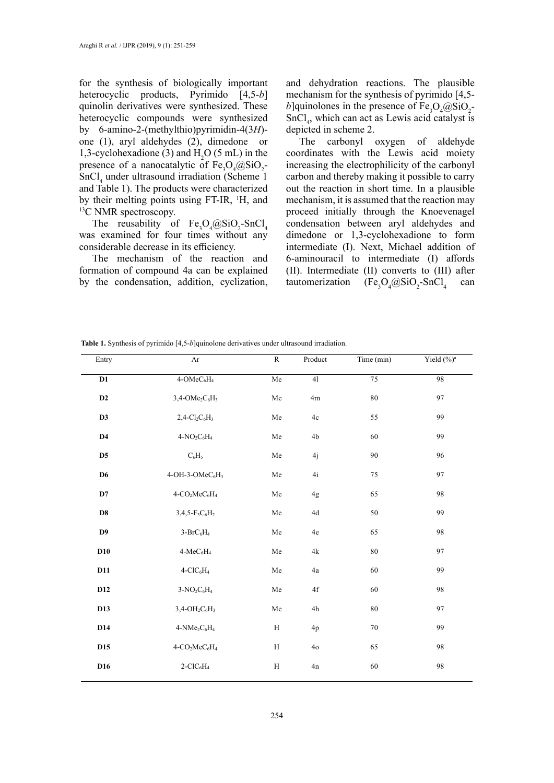for the synthesis of biologically important heterocyclic products, Pyrimido [4,5-*b*] quinolin derivatives were synthesized. These heterocyclic compounds were synthesized by 6-amino-2-(methylthio)pyrimidin-4(3*H*) one (1), aryl aldehydes (2), dimedone or 1,3-cyclohexadione (3) and  $H_2O(5 \text{ mL})$  in the presence of a nanocatalytic of  $Fe<sub>3</sub>O<sub>4</sub>(@SiO<sub>2</sub> -$ SnCl<sub>4</sub> under ultrasound irradiation (Scheme 1) and Table 1). The products were characterized by their melting points using FT-IR, <sup>1</sup>H, and <sup>13</sup>C NMR spectroscopy.

The reusability of  $Fe<sub>3</sub>O<sub>4</sub>(@SiO<sub>2</sub>-SnCl<sub>4</sub>)$ was examined for four times without any considerable decrease in its efficiency.

The mechanism of the reaction and formation of compound 4a can be explained by the condensation, addition, cyclization,

and dehydration reactions. The plausible mechanism for the synthesis of pyrimido [4,5 *b*]quinolones in the presence of  $Fe<sub>3</sub>O<sub>4</sub>(@SiO<sub>2</sub>$  $SnCl<sub>4</sub>$ , which can act as Lewis acid catalyst is depicted in scheme 2.

The carbonyl oxygen of aldehyde coordinates with the Lewis acid moiety increasing the electrophilicity of the carbonyl carbon and thereby making it possible to carry out the reaction in short time. In a plausible mechanism, it is assumed that the reaction may proceed initially through the Knoevenagel condensation between aryl aldehydes and dimedone or 1,3-cyclohexadione to form intermediate (I). Next, Michael addition of 6-aminouracil to intermediate (I) affords (II). Intermediate (II) converts to (III) after tautomerization  $(Fe<sub>3</sub>O<sub>4</sub>@SiO<sub>2</sub>-SnCl<sub>4</sub>)$ can

| <b>Table 1.</b> Synthesis of pyrimido [4,5-b]quinolone derivatives under ultrasound irradiation. |
|--------------------------------------------------------------------------------------------------|
|--------------------------------------------------------------------------------------------------|

| Entry          | Ar                                                    | $\mathbb{R}$ | Product        | Time (min) | Yield $(\%)^a$ |  |  |
|----------------|-------------------------------------------------------|--------------|----------------|------------|----------------|--|--|
| D1             | 4-OMeC <sub>6</sub> H <sub>4</sub>                    | ${\rm Me}$   | 41             | 75         | 98             |  |  |
| $\mathbf{D2}$  | $3,4$ -OMe <sub>2</sub> C <sub>6</sub> H <sub>3</sub> | ${\rm Me}$   | 4m             | $80\,$     | 97             |  |  |
| D <sub>3</sub> | $2,4-Cl_2C_6H_3$                                      | ${\rm Me}$   | $4\mathrm{c}$  | 55         | 99             |  |  |
| $\mathbf{D4}$  | $4-NO2C6H4$                                           | ${\rm Me}$   | $4\mathrm{b}$  | 60         | 99             |  |  |
| D <sub>5</sub> | $C_6H_5$                                              | ${\rm Me}$   | 4j             | $90\,$     | 96             |  |  |
| D <sub>6</sub> | $4$ -OH-3-OMe $C_6H_3$                                | ${\rm Me}$   | $4i$           | 75         | 97             |  |  |
| D7             | $4-CO2MeC6H4$                                         | ${\rm Me}$   | 4g             | 65         | 98             |  |  |
| $\mathbf{D8}$  | $3,4,5-F_3C_6H_2$                                     | ${\rm Me}$   | $4\mathrm{d}$  | 50         | 99             |  |  |
| D9             | $3-BrC_6H_4$                                          | ${\rm Me}$   | $4\mathrm{e}$  | 65         | 98             |  |  |
| D10            | 4-MeC <sub>6</sub> H <sub>4</sub>                     | ${\rm Me}$   | $4{\rm k}$     | $80\,$     | 97             |  |  |
| D11            | $4-CIC6H4$                                            | ${\rm Me}$   | $\rm 4a$       | 60         | 99             |  |  |
| D12            | $3-NO_2C_6H_4$                                        | ${\rm Me}$   | $4\mathrm{f}$  | 60         | 98             |  |  |
| D13            | $3,4$ -OH <sub>2</sub> C <sub>6</sub> H <sub>3</sub>  | ${\rm Me}$   | $4\mathrm{h}$  | $80\,$     | 97             |  |  |
| D14            | $4-NMe2C6H4$                                          | $\rm H$      | 4p             | 70         | 99             |  |  |
| D15            | $4-CO2MeC6H4$                                         | H            | 4 <sub>o</sub> | 65         | 98             |  |  |
| D16            | $2\text{-}\mathrm{ClC}_6\mathrm{H}_4$                 | $\rm H$      | $4n$           | 60         | 98             |  |  |
|                |                                                       |              |                |            |                |  |  |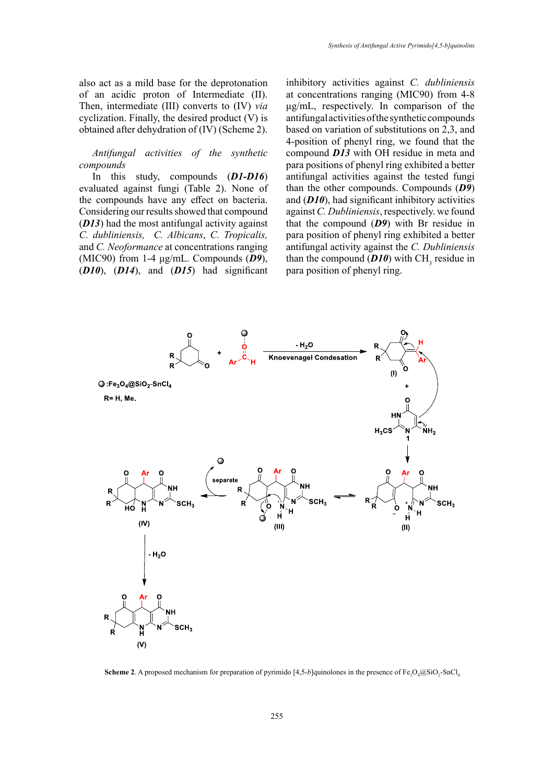also act as a mild base for the deprotonation of an acidic proton of Intermediate (II). Then, intermediate (III) converts to (IV) *via* cyclization. Finally, the desired product (V) is obtained after dehydration of (IV) (Scheme 2).

*Antifungal activities of the synthetic compounds*

In this study, compounds (*D1-D16*) evaluated against fungi (Table 2). None of the compounds have any effect on bacteria. Considering our results showed that compound (*D13*) had the most antifungal activity against *C. dubliniensis, C. Albicans*, *C. Tropicalis,* and *C. Neoformance* at concentrations ranging (MIC90) from 1-4 μg/mL. Compounds (*D9*), (*D10*), (*D14*), and (*D15*) had significant

inhibitory activities against *C. dubliniensis* at concentrations ranging (MIC90) from 4-8 μg/mL, respectively. In comparison of the antifungal activities of the synthetic compounds based on variation of substitutions on 2,3, and 4-position of phenyl ring, we found that the compound *D13* with OH residue in meta and para positions of phenyl ring exhibited a better antifungal activities against the tested fungi than the other compounds. Compounds (*D9*) and (*D10*), had significant inhibitory activities against *C. Dubliniensis*, respectively. we found that the compound (*D9*) with Br residue in para position of phenyl ring exhibited a better antifungal activity against the *C. Dubliniensis*  than the compound  $(D10)$  with CH<sub>3</sub> residue in para position of phenyl ring.



**Scheme 2.** A proposed mechanism for preparation of pyrimido [4,5-b]quinolones in the presence of  $Fe<sub>3</sub>O<sub>4</sub>@SiO<sub>2</sub>-SnCl<sub>4</sub>$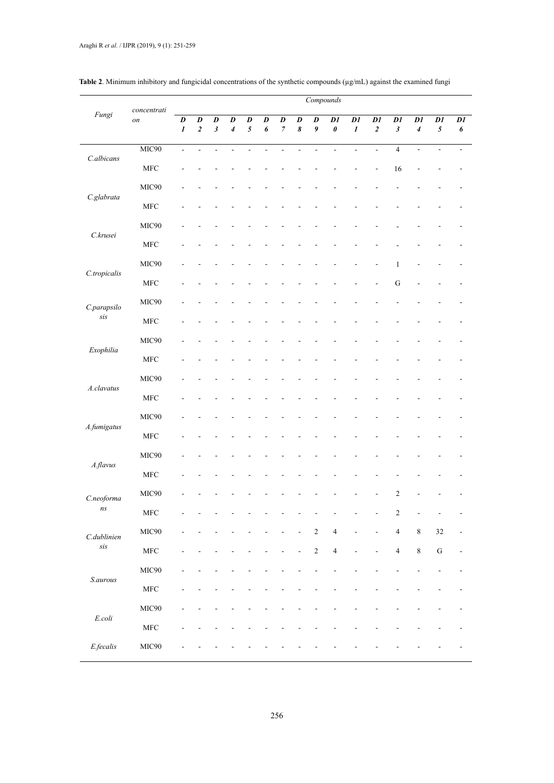| Fungi                               | concentrati<br>on | Compounds                            |                                      |                                               |                                  |                     |                                    |                             |                          |                        |                                   |                        |                                     |                                               |                             |                              |          |
|-------------------------------------|-------------------|--------------------------------------|--------------------------------------|-----------------------------------------------|----------------------------------|---------------------|------------------------------------|-----------------------------|--------------------------|------------------------|-----------------------------------|------------------------|-------------------------------------|-----------------------------------------------|-----------------------------|------------------------------|----------|
|                                     |                   | $\boldsymbol{D}$<br>$\boldsymbol{l}$ | $\boldsymbol{D}$<br>$\boldsymbol{2}$ | $\overline{D}$<br>$\boldsymbol{\mathfrak{z}}$ | $\overline{D}$<br>$\overline{4}$ | $\overline{D}$<br>5 | $\overline{D}$<br>$\boldsymbol{6}$ | $\pmb{D}$<br>$\overline{7}$ | D<br>$\pmb{8}$           | $\pmb{D}$<br>$\pmb{9}$ | $\mathfrak{D}1$<br>$\pmb{\theta}$ | DI<br>$\boldsymbol{l}$ | $\overline{DI}$<br>$\boldsymbol{2}$ | $\mathcal{D}1$<br>$\boldsymbol{\mathfrak{z}}$ | $\mathcal{D}1$<br>$\pmb{4}$ | $\mathcal{D}1$<br>$\sqrt{5}$ | DI<br>6  |
| C.albicans                          | MIC90             | $\overline{a}$                       | $\mathbb{L}$                         | $\overline{a}$                                | $\overline{a}$                   | $\overline{a}$      | $\overline{\phantom{a}}$           | L.                          | $\overline{\phantom{a}}$ | $\overline{a}$         | $\overline{a}$                    | $\overline{a}$         | $\frac{1}{2}$                       | $\overline{4}$                                | $\frac{1}{2}$               | $\overline{a}$               | $\omega$ |
|                                     | ${\rm MFC}$       |                                      |                                      |                                               |                                  |                     |                                    |                             |                          |                        |                                   |                        |                                     | 16                                            |                             |                              |          |
| C.glabrata                          | MIC90             |                                      |                                      |                                               |                                  |                     |                                    |                             |                          |                        |                                   |                        |                                     |                                               |                             |                              |          |
|                                     | <b>MFC</b>        |                                      |                                      |                                               |                                  |                     |                                    |                             |                          |                        |                                   |                        |                                     |                                               |                             |                              |          |
| C.krusei                            | MIC90             |                                      |                                      |                                               |                                  |                     |                                    |                             |                          |                        |                                   |                        |                                     |                                               |                             |                              |          |
|                                     | ${\rm MFC}$       |                                      |                                      |                                               |                                  |                     |                                    |                             |                          |                        |                                   |                        |                                     |                                               |                             |                              |          |
| C.tropicalis                        | MIC90             |                                      |                                      |                                               |                                  |                     |                                    |                             |                          |                        |                                   |                        |                                     | $\mathbf{1}$                                  |                             |                              |          |
|                                     | ${\rm MFC}$       |                                      |                                      |                                               |                                  |                     |                                    |                             |                          |                        |                                   |                        | L,                                  | ${\bf G}$                                     |                             |                              |          |
| C.parapsilo<br>$\operatorname{Sis}$ | MIC90             |                                      |                                      |                                               |                                  |                     |                                    |                             |                          |                        |                                   |                        |                                     |                                               |                             |                              |          |
|                                     | ${\rm MFC}$       |                                      |                                      |                                               |                                  |                     |                                    |                             |                          |                        |                                   |                        |                                     |                                               |                             |                              |          |
| Exophilia                           | MIC90             |                                      |                                      |                                               |                                  |                     |                                    |                             |                          |                        |                                   |                        |                                     |                                               |                             |                              |          |
|                                     | ${\rm MFC}$       |                                      |                                      |                                               |                                  |                     |                                    |                             |                          |                        |                                   |                        |                                     |                                               |                             |                              |          |
| A.clavatus                          | MIC90             |                                      |                                      |                                               |                                  |                     |                                    |                             |                          |                        |                                   |                        |                                     |                                               |                             |                              |          |
|                                     | ${\rm MFC}$       |                                      |                                      |                                               |                                  |                     |                                    |                             |                          |                        |                                   |                        |                                     |                                               |                             |                              |          |
| A.fumigatus                         | MIC90             |                                      |                                      |                                               |                                  |                     |                                    |                             |                          |                        |                                   |                        |                                     |                                               |                             |                              |          |
|                                     | ${\rm MFC}$       |                                      |                                      |                                               |                                  |                     |                                    |                             |                          |                        |                                   |                        |                                     |                                               |                             |                              |          |
| A.flavus                            | MIC90             |                                      |                                      |                                               |                                  |                     |                                    |                             |                          |                        |                                   |                        |                                     |                                               |                             |                              |          |
|                                     | ${\rm MFC}$       |                                      |                                      |                                               |                                  |                     |                                    |                             |                          |                        |                                   |                        |                                     |                                               |                             |                              |          |
| C.neoforma<br>ns                    | MIC90             |                                      |                                      |                                               |                                  |                     |                                    |                             |                          |                        |                                   |                        |                                     | $\sqrt{2}$                                    |                             |                              |          |
|                                     | ${\rm MFC}$       |                                      |                                      |                                               |                                  |                     |                                    |                             |                          |                        |                                   |                        |                                     | $\sqrt{2}$                                    |                             |                              |          |
| C.dublinien<br>$\it{sis}$           | MIC90             |                                      |                                      |                                               |                                  |                     |                                    |                             |                          | $\sqrt{2}$             | $\overline{4}$                    | L,                     | $\overline{a}$                      | $\overline{4}$                                | $\,$ 8 $\,$                 | $32\,$                       |          |
|                                     | ${\rm MFC}$       |                                      |                                      |                                               |                                  |                     |                                    |                             |                          | $\sqrt{2}$             | $\overline{4}$                    | $\overline{a}$         | L,                                  | $\overline{4}$                                | $\,8\,$                     | ${\bf G}$                    | ä,       |
| S.aurous                            | MIC90             |                                      |                                      |                                               |                                  |                     |                                    |                             |                          |                        |                                   |                        |                                     |                                               |                             |                              |          |
|                                     | ${\rm MFC}$       |                                      |                                      |                                               |                                  |                     |                                    |                             |                          |                        |                                   |                        |                                     |                                               |                             |                              |          |
| $E. coli$                           | MIC90             |                                      |                                      |                                               |                                  |                     |                                    |                             |                          |                        |                                   |                        |                                     |                                               |                             |                              |          |
|                                     | ${\rm MFC}$       |                                      |                                      |                                               |                                  |                     |                                    |                             |                          |                        |                                   |                        |                                     |                                               |                             |                              |          |
| $E\nfecalis$                        | MIC90             |                                      |                                      |                                               |                                  |                     |                                    |                             |                          |                        |                                   |                        |                                     |                                               |                             |                              |          |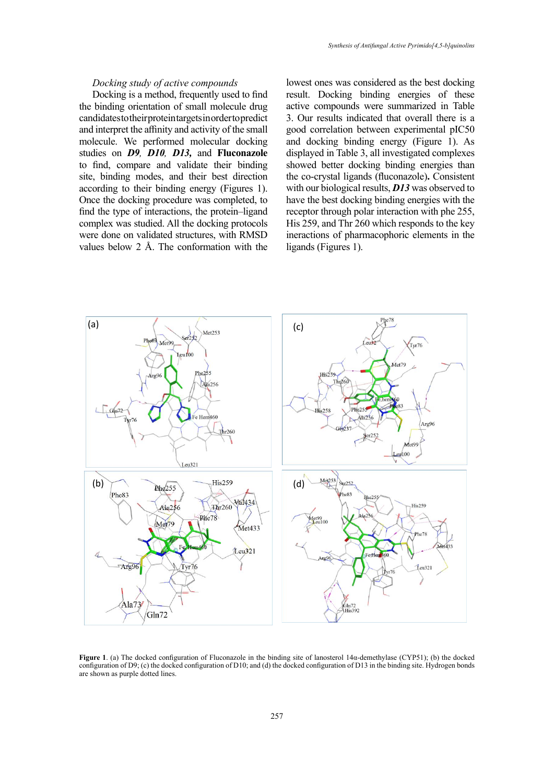## *Docking study of active compounds*

Docking is a method, frequently used to find the binding orientation of small molecule drug candidates to their protein targets in order to predict and interpret the affinity and activity of the small molecule. We performed molecular docking studies on *D9, D10, D13,* and **Fluconazole** to find, compare and validate their binding site, binding modes, and their best direction according to their binding energy (Figures 1). Once the docking procedure was completed, to find the type of interactions, the protein–ligand complex was studied. All the docking protocols were done on validated structures, with RMSD values below 2 Å. The conformation with the lowest ones was considered as the best docking result. Docking binding energies of these active compounds were summarized in Table 3. Our results indicated that overall there is a good correlation between experimental pIC50 and docking binding energy (Figure 1). As displayed in Table 3, all investigated complexes showed better docking binding energies than the co-crystal ligands (fluconazole)**.** Consistent with our biological results, *D13* was observed to have the best docking binding energies with the receptor through polar interaction with phe 255, His 259, and Thr 260 which responds to the key ineractions of pharmacophoric elements in the ligands (Figures 1).



**Figure 1**. (a) The docked configuration of Fluconazole in the binding site of lanosterol 14α-demethylase (CYP51); (b) the docked configuration of D9; (c) the docked configuration of D10; and (d) the docked configuration of D13 in the binding site. Hydrogen bonds are shown as purple dotted lines.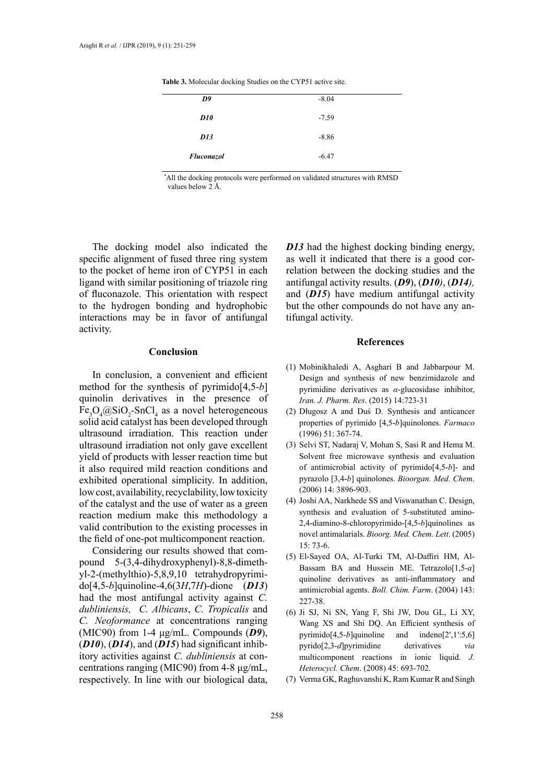| D9                | $-8.04$ |
|-------------------|---------|
| D10               | $-7.59$ |
| D13               | $-8.86$ |
| <b>Fluconazol</b> | $-6.47$ |

Table 3. Molecular docking Studies on the CYP51 active site.

 *\** All the docking protocols were performed on validated structures with RMSD values below 2 Å.

The docking model also indicated the specific alignment of fused three ring system to the pocket of heme iron of CYP51 in each ligand with similar positioning of triazole ring of fluconazole. This orientation with respect to the hydrogen bonding and hydrophobic interactions may be in favor of antifungal activity.

# **Conclusion**

In conclusion, a convenient and efficient method for the synthesis of pyrimido[4,5-*b*] quinolin derivatives in the presence of  $Fe<sub>3</sub>O<sub>4</sub>(QSiO<sub>2</sub>-SnCl<sub>4</sub> as a novel heterogeneous$ solid acid catalyst has been developed through ultrasound irradiation. This reaction under ultrasound irradiation not only gave excellent yield of products with lesser reaction time but it also required mild reaction conditions and exhibited operational simplicity. In addition, low cost, availability, recyclability, low toxicity of the catalyst and the use of water as a green reaction medium make this methodology a valid contribution to the existing processes in the field of one-pot multicomponent reaction.

Considering our results showed that compound 5-(3,4-dihydroxyphenyl)-8,8-dimethyl-2-(methylthio)-5,8,9,10 tetrahydropyrimido[4,5-*b*]quinoline-4,6(3*H*,7*H*)-dione (*D13*) had the most antifungal activity against *C. dubliniensis, C. Albicans*, *C. Tropicalis* and *C. Neoformance* at concentrations ranging (MIC90) from 1-4 μg/mL. Compounds (*D9*), (*D10*), (*D14*), and (*D15*) had significant inhibitory activities against *C. dubliniensis* at concentrations ranging (MIC90) from 4-8 μg/mL, respectively. In line with our biological data, *D13* had the highest docking binding energy, as well it indicated that there is a good correlation between the docking studies and the antifungal activity results. (*D9*), (*D10)*, (*D14),* and (*D15*) have medium antifungal activity but the other compounds do not have any antifungal activity.

# **References**

- (1) Mobinikhaledi A, Asghari B and Jabbarpour M. Design and synthesis of new benzimidazole and pyrimidine derivatives as *α*-glucosidase inhibitor, *Iran. J. Pharm. Res*. (2015) 14:723-31
- (2) Długosz A and Duś D. Synthesis and anticancer properties of pyrimido [4,5-*b*]quinolones. *Farmaco* (1996) 51: 367-74.
- (3) Selvi ST, Nadaraj V, Mohan S, Sasi R and Hema M. Solvent free microwave synthesis and evaluation of antimicrobial activity of pyrimido[4,5-*b*]- and pyrazolo [3,4-*b*] quinolones. *Bioorgan. Med. Chem*. (2006) 14: 3896-903.
- (4) Joshi AA, Narkhede SS and Viswanathan C. Design, synthesis and evaluation of 5-substituted amino-2,4-diamino-8-chloropyrimido-[4,5-*b*]quinolines as novel antimalarials. *Bioorg. Med. Chem. Lett*. (2005) 15: 73-6.
- (5) El-Sayed OA, Al-Turki TM, Al-Daffiri HM, Al-Bassam BA and Hussein ME. Tetrazolo[1,5-*a*] quinoline derivatives as anti-inflammatory and antimicrobial agents. *Boll. Chim. Farm*. (2004) 143: 227-38
- (6) Ji SJ, Ni SN, Yang F, Shi JW, Dou GL, Li XY, Wang XS and Shi DQ. An Efficient synthesis of pyrimido[4,5-*b*]quinoline and indeno[2′,1′:5,6] pyrido[2,3-*d*]pyrimidine derivatives *via* multicomponent reactions in ionic liquid. *J. Heterocycl. Chem*. (2008) 45: 693-702.
- (7) Verma GK, Raghuvanshi K, Ram Kumar R and Singh